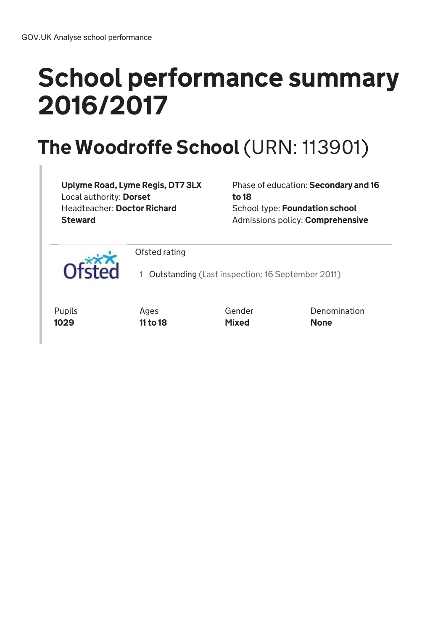# School performance summary 2016/2017

## The Woodroffe School (URN: 113901)

Uplyme Road, Lyme Regis, DT7 3LX Local authority: Dorset Headteacher: Doctor Richard **Steward** 

Phase of education: Secondary and 16 to 18 School type: Foundation school Admissions policy: Comprehensive

Ofsted rating 1 Outstanding (Last inspection: 16 September 2011) Pupils 1029 Ages 11 to 18 Gender Mixed Denomination None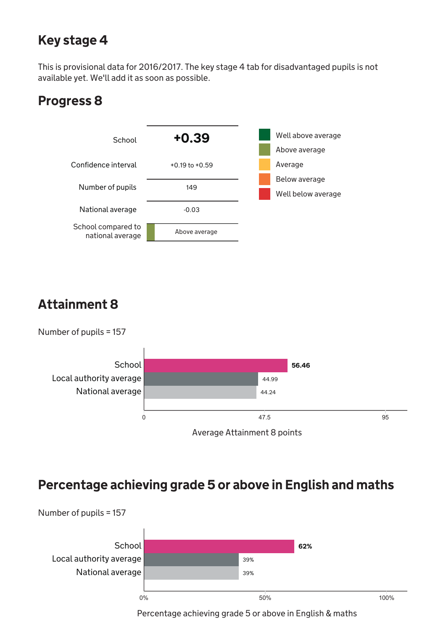### Key stage 4

This is provisional data for 2016/2017. The key stage 4 tab for disadvantaged pupils is not available yet. We'll add it as soon as possible.

#### Progress 8



### Attainment 8





#### Percentage achieving grade 5 or above in English and maths



Percentage achieving grade 5 or above in English & maths